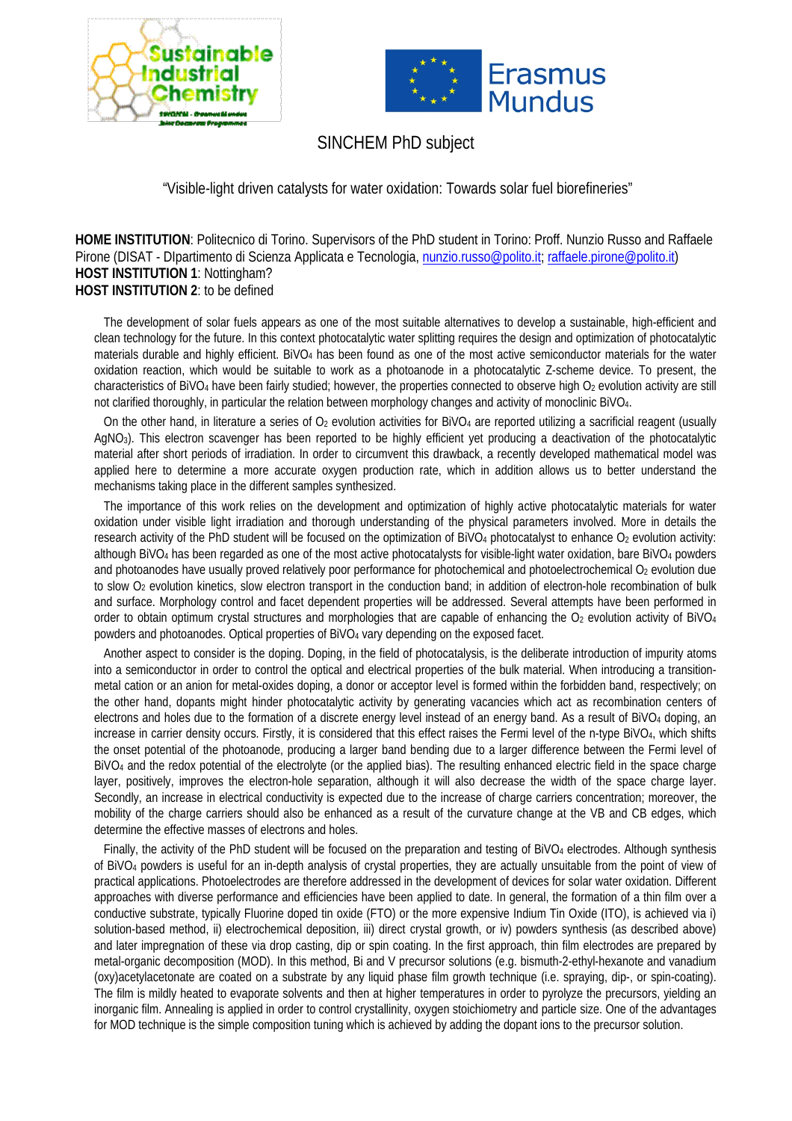



## SINCHEM PhD subject

"Visible-light driven catalysts for water oxidation: Towards solar fuel biorefineries"

**HOME INSTITUTION**: Politecnico di Torino. Supervisors of the PhD student in Torino: Proff. Nunzio Russo and Raffaele Pirone (DISAT - DIpartimento di Scienza Applicata e Tecnologia[, nunzio.russo@polito.it;](mailto:nunzio.russo@polito.it) [raffaele.pirone@polito.it\)](mailto:raffaele.pirone@polito.it) **HOST INSTITUTION 1**: Nottingham? **HOST INSTITUTION 2**: to be defined

The development of solar fuels appears as one of the most suitable alternatives to develop a sustainable, high-efficient and clean technology for the future. In this context photocatalytic water splitting requires the design and optimization of photocatalytic materials durable and highly efficient. BiVO4 has been found as one of the most active semiconductor materials for the water oxidation reaction, which would be suitable to work as a photoanode in a photocatalytic Z-scheme device. To present, the characteristics of BiVO<sub>4</sub> have been fairly studied; however, the properties connected to observe high O<sub>2</sub> evolution activity are still not clarified thoroughly, in particular the relation between morphology changes and activity of monoclinic BiVO4.

On the other hand, in literature a series of  $O_2$  evolution activities for BiVO<sub>4</sub> are reported utilizing a sacrificial reagent (usually AgNO3). This electron scavenger has been reported to be highly efficient yet producing a deactivation of the photocatalytic material after short periods of irradiation. In order to circumvent this drawback, a recently developed mathematical model was applied here to determine a more accurate oxygen production rate, which in addition allows us to better understand the mechanisms taking place in the different samples synthesized.

The importance of this work relies on the development and optimization of highly active photocatalytic materials for water oxidation under visible light irradiation and thorough understanding of the physical parameters involved. More in details the research activity of the PhD student will be focused on the optimization of BiVO<sub>4</sub> photocatalyst to enhance O<sub>2</sub> evolution activity: although BiVO4 has been regarded as one of the most active photocatalysts for visible-light water oxidation, bare BiVO4 powders and photoanodes have usually proved relatively poor performance for photochemical and photoelectrochemical  $O<sub>2</sub>$  evolution due to slow O2 evolution kinetics, slow electron transport in the conduction band; in addition of electron-hole recombination of bulk and surface. Morphology control and facet dependent properties will be addressed. Several attempts have been performed in order to obtain optimum crystal structures and morphologies that are capable of enhancing the O<sub>2</sub> evolution activity of BiVO<sub>4</sub> powders and photoanodes. Optical properties of BiVO4 vary depending on the exposed facet.

Another aspect to consider is the doping. Doping, in the field of photocatalysis, is the deliberate introduction of impurity atoms into a semiconductor in order to control the optical and electrical properties of the bulk material. When introducing a transitionmetal cation or an anion for metal-oxides doping, a donor or acceptor level is formed within the forbidden band, respectively; on the other hand, dopants might hinder photocatalytic activity by generating vacancies which act as recombination centers of electrons and holes due to the formation of a discrete energy level instead of an energy band. As a result of BiVO4 doping, an increase in carrier density occurs. Firstly, it is considered that this effect raises the Fermi level of the n-type BiVO4, which shifts the onset potential of the photoanode, producing a larger band bending due to a larger difference between the Fermi level of BiVO4 and the redox potential of the electrolyte (or the applied bias). The resulting enhanced electric field in the space charge layer, positively, improves the electron-hole separation, although it will also decrease the width of the space charge layer. Secondly, an increase in electrical conductivity is expected due to the increase of charge carriers concentration; moreover, the mobility of the charge carriers should also be enhanced as a result of the curvature change at the VB and CB edges, which determine the effective masses of electrons and holes.

Finally, the activity of the PhD student will be focused on the preparation and testing of BiVO4 electrodes. Although synthesis of BiVO4 powders is useful for an in-depth analysis of crystal properties, they are actually unsuitable from the point of view of practical applications. Photoelectrodes are therefore addressed in the development of devices for solar water oxidation. Different approaches with diverse performance and efficiencies have been applied to date. In general, the formation of a thin film over a conductive substrate, typically Fluorine doped tin oxide (FTO) or the more expensive Indium Tin Oxide (ITO), is achieved via i) solution-based method, ii) electrochemical deposition, iii) direct crystal growth, or iv) powders synthesis (as described above) and later impregnation of these via drop casting, dip or spin coating. In the first approach, thin film electrodes are prepared by metal-organic decomposition (MOD). In this method, Bi and V precursor solutions (e.g. bismuth-2-ethyl-hexanote and vanadium (oxy)acetylacetonate are coated on a substrate by any liquid phase film growth technique (i.e. spraying, dip-, or spin-coating). The film is mildly heated to evaporate solvents and then at higher temperatures in order to pyrolyze the precursors, yielding an inorganic film. Annealing is applied in order to control crystallinity, oxygen stoichiometry and particle size. One of the advantages for MOD technique is the simple composition tuning which is achieved by adding the dopant ions to the precursor solution.